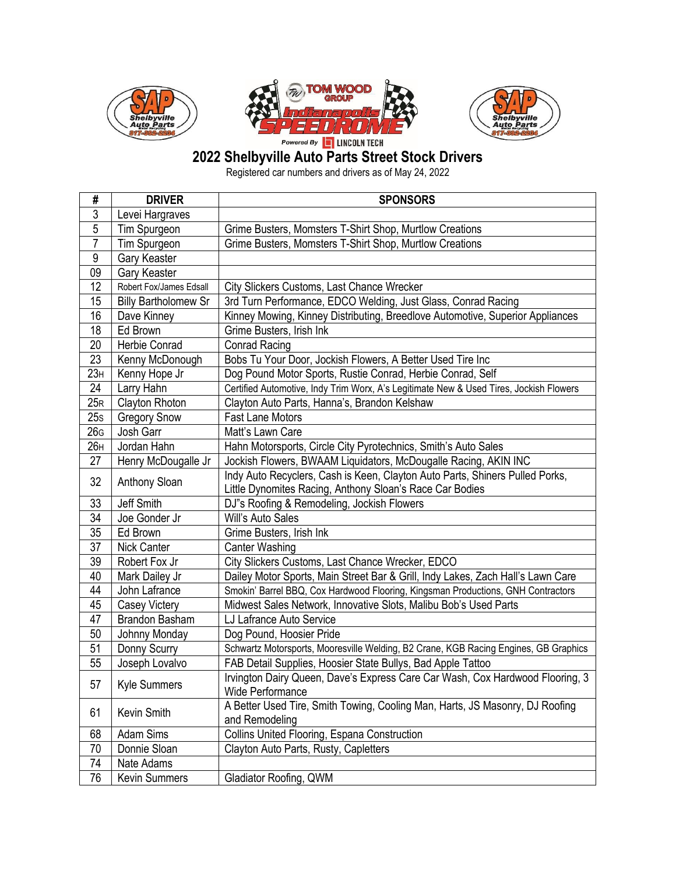





## **Shelbyville Auto Parts Street Stock Drivers**

Registered car numbers and drivers as of May 24, 2022

| #               | <b>DRIVER</b>               | <b>SPONSORS</b>                                                                                                                          |
|-----------------|-----------------------------|------------------------------------------------------------------------------------------------------------------------------------------|
| 3               | Levei Hargraves             |                                                                                                                                          |
| $\overline{5}$  | Tim Spurgeon                | Grime Busters, Momsters T-Shirt Shop, Murtlow Creations                                                                                  |
| 7               | Tim Spurgeon                | Grime Busters, Momsters T-Shirt Shop, Murtlow Creations                                                                                  |
| 9               | Gary Keaster                |                                                                                                                                          |
| 09              | Gary Keaster                |                                                                                                                                          |
| 12              | Robert Fox/James Edsall     | City Slickers Customs, Last Chance Wrecker                                                                                               |
| 15              | <b>Billy Bartholomew Sr</b> | 3rd Turn Performance, EDCO Welding, Just Glass, Conrad Racing                                                                            |
| 16              | Dave Kinney                 | Kinney Mowing, Kinney Distributing, Breedlove Automotive, Superior Appliances                                                            |
| 18              | Ed Brown                    | Grime Busters, Irish Ink                                                                                                                 |
| 20              | Herbie Conrad               | <b>Conrad Racing</b>                                                                                                                     |
| 23              | Kenny McDonough             | Bobs Tu Your Door, Jockish Flowers, A Better Used Tire Inc                                                                               |
| 23H             | Kenny Hope Jr               | Dog Pound Motor Sports, Rustie Conrad, Herbie Conrad, Self                                                                               |
| 24              | Larry Hahn                  | Certified Automotive, Indy Trim Worx, A's Legitimate New & Used Tires, Jockish Flowers                                                   |
| 25R             | Clayton Rhoton              | Clayton Auto Parts, Hanna's, Brandon Kelshaw                                                                                             |
| 25s             | <b>Gregory Snow</b>         | <b>Fast Lane Motors</b>                                                                                                                  |
| 26 <sub>G</sub> | Josh Garr                   | Matt's Lawn Care                                                                                                                         |
| 26 <sub>H</sub> | Jordan Hahn                 | Hahn Motorsports, Circle City Pyrotechnics, Smith's Auto Sales                                                                           |
| 27              | Henry McDougalle Jr         | Jockish Flowers, BWAAM Liquidators, McDougalle Racing, AKIN INC                                                                          |
| 32              | Anthony Sloan               | Indy Auto Recyclers, Cash is Keen, Clayton Auto Parts, Shiners Pulled Porks,<br>Little Dynomites Racing, Anthony Sloan's Race Car Bodies |
| 33              | Jeff Smith                  | DJ"s Roofing & Remodeling, Jockish Flowers                                                                                               |
| 34              | Joe Gonder Jr               | Will's Auto Sales                                                                                                                        |
| 35              | Ed Brown                    | Grime Busters, Irish Ink                                                                                                                 |
| 37              | <b>Nick Canter</b>          | <b>Canter Washing</b>                                                                                                                    |
| 39              | Robert Fox Jr               | City Slickers Customs, Last Chance Wrecker, EDCO                                                                                         |
| 40              | Mark Dailey Jr              | Dailey Motor Sports, Main Street Bar & Grill, Indy Lakes, Zach Hall's Lawn Care                                                          |
| 44              | John Lafrance               | Smokin' Barrel BBQ, Cox Hardwood Flooring, Kingsman Productions, GNH Contractors                                                         |
| 45              | <b>Casey Victery</b>        | Midwest Sales Network, Innovative Slots, Malibu Bob's Used Parts                                                                         |
| 47              | Brandon Basham              | LJ Lafrance Auto Service                                                                                                                 |
| 50              | Johnny Monday               | Dog Pound, Hoosier Pride                                                                                                                 |
| 51              | Donny Scurry                | Schwartz Motorsports, Mooresville Welding, B2 Crane, KGB Racing Engines, GB Graphics                                                     |
| 55              | Joseph Lovalvo              | FAB Detail Supplies, Hoosier State Bullys, Bad Apple Tattoo                                                                              |
| 57              | Kyle Summers                | Irvington Dairy Queen, Dave's Express Care Car Wash, Cox Hardwood Flooring, 3<br>Wide Performance                                        |
| 61              | Kevin Smith                 | A Better Used Tire, Smith Towing, Cooling Man, Harts, JS Masonry, DJ Roofing<br>and Remodeling                                           |
| 68              | Adam Sims                   | Collins United Flooring, Espana Construction                                                                                             |
| 70              | Donnie Sloan                | Clayton Auto Parts, Rusty, Capletters                                                                                                    |
| 74              | Nate Adams                  |                                                                                                                                          |
| 76              | <b>Kevin Summers</b>        | Gladiator Roofing, QWM                                                                                                                   |